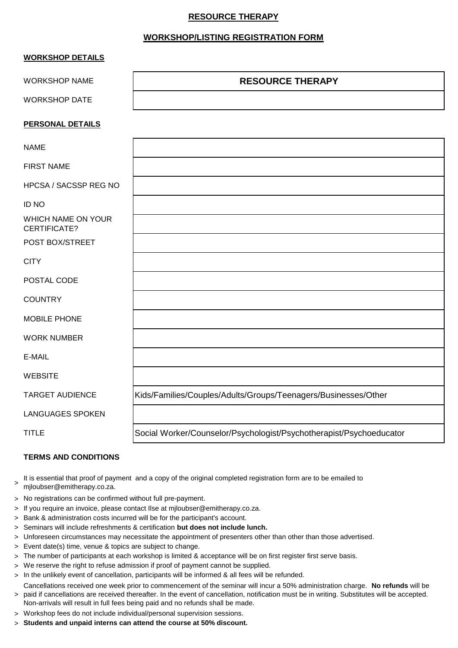## **RESOURCE THERAPY**

## **WORKSHOP/LISTING REGISTRATION FORM**

| <b>WORKSHOP DETAILS</b>            |                                                                     |
|------------------------------------|---------------------------------------------------------------------|
| <b>WORKSHOP NAME</b>               | <b>RESOURCE THERAPY</b>                                             |
| <b>WORKSHOP DATE</b>               |                                                                     |
| <b>PERSONAL DETAILS</b>            |                                                                     |
| <b>NAME</b>                        |                                                                     |
| <b>FIRST NAME</b>                  |                                                                     |
| HPCSA / SACSSP REG NO              |                                                                     |
| <b>ID NO</b>                       |                                                                     |
| WHICH NAME ON YOUR<br>CERTIFICATE? |                                                                     |
| POST BOX/STREET                    |                                                                     |
| <b>CITY</b>                        |                                                                     |
| POSTAL CODE                        |                                                                     |
| <b>COUNTRY</b>                     |                                                                     |
| MOBILE PHONE                       |                                                                     |
| <b>WORK NUMBER</b>                 |                                                                     |
| E-MAIL                             |                                                                     |
| <b>WEBSITE</b>                     |                                                                     |
| <b>TARGET AUDIENCE</b>             | Kids/Families/Couples/Adults/Groups/Teenagers/Businesses/Other      |
| <b>LANGUAGES SPOKEN</b>            |                                                                     |
| <b>TITLE</b>                       | Social Worker/Counselor/Psychologist/Psychotherapist/Psychoeducator |

## **TERMS AND CONDITIONS**

- > It is essential that proof of payment and a copy of the original completed registration form are to be emailed to mjloubser@emitherapy.co.za.
- > No registrations can be confirmed without full pre-payment.
- > If you require an invoice, please contact Ilse at mjloubser@emitherapy.co.za.
- > Bank & administration costs incurred will be for the participant's account.
- > Seminars will include refreshments & certification **but does not include lunch.**
- > Unforeseen circumstances may necessitate the appointment of presenters other than other than those advertised.
- > Event date(s) time, venue & topics are subject to change.
- > The number of participants at each workshop is limited & acceptance will be on first register first serve basis.
- > We reserve the right to refuse admission if proof of payment cannot be supplied.
- > In the unlikely event of cancellation, participants will be informed & all fees will be refunded.
- > paid if cancellations are received thereafter. In the event of cancellation, notification must be in writing. Substitutes will be accepted. Cancellations received one week prior to commencement of the seminar will incur a 50% administration charge. **No refunds** will be Non-arrivals will result in full fees being paid and no refunds shall be made.
- > Workshop fees do not include individual/personal supervision sessions.
- > **Students and unpaid interns can attend the course at 50% discount.**